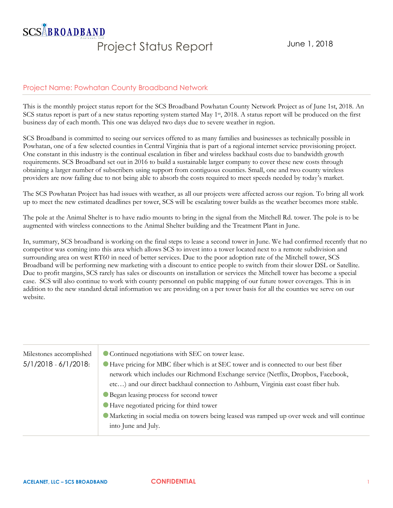## **SCS&BROADBAND** Project Status Report June 1, 2018

## Project Name: Powhatan County Broadband Network

This is the monthly project status report for the SCS Broadband Powhatan County Network Project as of June 1st, 2018. An SCS status report is part of a new status reporting system started May 1<sup>st</sup>, 2018. A status report will be produced on the first business day of each month. This one was delayed two days due to severe weather in region.

SCS Broadband is committed to seeing our services offered to as many families and businesses as technically possible in Powhatan, one of a few selected counties in Central Virginia that is part of a regional internet service provisioning project. One constant in this industry is the continual escalation in fiber and wireless backhaul costs due to bandwidth growth requirements. SCS Broadband set out in 2016 to build a sustainable larger company to cover these new costs through obtaining a larger number of subscribers using support from contiguous counties. Small, one and two county wireless providers are now failing due to not being able to absorb the costs required to meet speeds needed by today's market.

The SCS Powhatan Project has had issues with weather, as all our projects were affected across our region. To bring all work up to meet the new estimated deadlines per tower, SCS will be escalating tower builds as the weather becomes more stable.

The pole at the Animal Shelter is to have radio mounts to bring in the signal from the Mitchell Rd. tower. The pole is to be augmented with wireless connections to the Animal Shelter building and the Treatment Plant in June.

In, summary, SCS broadband is working on the final steps to lease a second tower in June. We had confirmed recently that no competitor was coming into this area which allows SCS to invest into a tower located next to a remote subdivision and surrounding area on west RT60 in need of better services. Due to the poor adoption rate of the Mitchell tower, SCS Broadband will be performing new marketing with a discount to entice people to switch from their slower DSL or Satellite. Due to profit margins, SCS rarely has sales or discounts on installation or services the Mitchell tower has become a special case. SCS will also continue to work with county personnel on public mapping of our future tower coverages. This is in addition to the new standard detail information we are providing on a per tower basis for all the counties we serve on our website.

| Milestones accomplished | Continued negotiations with SEC on tower lease.                                              |
|-------------------------|----------------------------------------------------------------------------------------------|
| 5/1/2018 - 6/1/2018:    | Have pricing for MBC fiber which is at SEC tower and is connected to our best fiber          |
|                         | network which includes our Richmond Exchange service (Netflix, Dropbox, Facebook,            |
|                         | etc) and our direct backhaul connection to Ashburn, Virginia east coast fiber hub.           |
|                         | <b>• Began leasing process for second tower</b>                                              |
|                         | Have negotiated pricing for third tower                                                      |
|                         | • Marketing in social media on towers being leased was ramped up over week and will continue |
|                         | into June and July.                                                                          |
|                         |                                                                                              |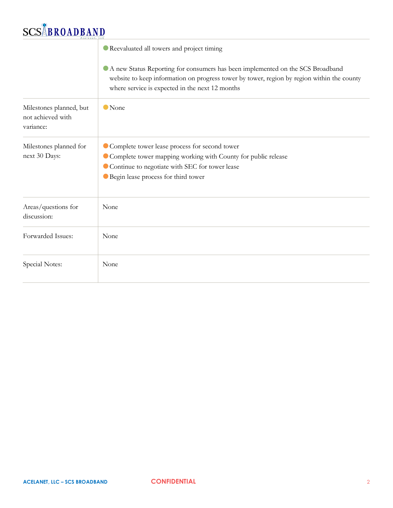## **SCSABROADBAND**

|                                                           | Reevaluated all towers and project timing                                                                                                                                                                                       |
|-----------------------------------------------------------|---------------------------------------------------------------------------------------------------------------------------------------------------------------------------------------------------------------------------------|
|                                                           | A new Status Reporting for consumers has been implemented on the SCS Broadband<br>website to keep information on progress tower by tower, region by region within the county<br>where service is expected in the next 12 months |
| Milestones planned, but<br>not achieved with<br>variance: | <b>O</b> None                                                                                                                                                                                                                   |
| Milestones planned for<br>next 30 Days:                   | Complete tower lease process for second tower<br>Complete tower mapping working with County for public release<br>Continue to negotiate with SEC for tower lease<br><b>•</b> Begin lease process for third tower                |
| Areas/questions for<br>discussion:                        | None                                                                                                                                                                                                                            |
| Forwarded Issues:                                         | None                                                                                                                                                                                                                            |
| Special Notes:                                            | None                                                                                                                                                                                                                            |